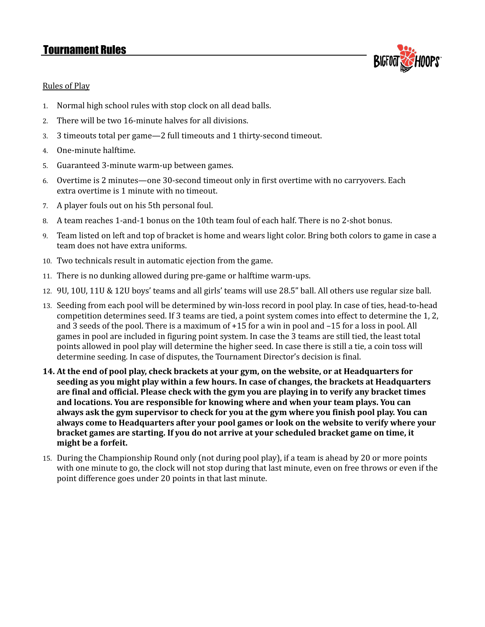## Tournament Rules



### Rules of Play

- 1. Normal high school rules with stop clock on all dead balls.
- 2. There will be two 16-minute halves for all divisions.
- 3. 3 timeouts total per game—2 full timeouts and 1 thirty-second timeout.
- 4. One-minute halftime.
- 5. Guaranteed 3-minute warm-up between games.
- 6. Overtime is 2 minutes—one 30-second timeout only in first overtime with no carryovers. Each extra overtime is 1 minute with no timeout.
- 7. A player fouls out on his 5th personal foul.
- 8. A team reaches 1-and-1 bonus on the 10th team foul of each half. There is no 2-shot bonus.
- 9. Team listed on left and top of bracket is home and wears light color. Bring both colors to game in case a team does not have extra uniforms.
- 10. Two technicals result in automatic ejection from the game.
- 11. There is no dunking allowed during pre-game or halftime warm-ups.
- 12. 9U, 10U, 11U & 12U boys' teams and all girls' teams will use 28.5" ball. All others use regular size ball.
- 13. Seeding from each pool will be determined by win-loss record in pool play. In case of ties, head-to-head competition determines seed. If 3 teams are tied, a point system comes into effect to determine the 1, 2, and 3 seeds of the pool. There is a maximum of +15 for a win in pool and –15 for a loss in pool. All games in pool are included in figuring point system. In case the 3 teams are still tied, the least total points allowed in pool play will determine the higher seed. In case there is still a tie, a coin toss will determine seeding. In case of disputes, the Tournament Director's decision is final.
- 14. At the end of pool play, check brackets at your gym, on the website, or at Headquarters for **seeding as you might play within a few hours. In case of changes, the brackets at Headquarters are final and official. Please check with the gym you are playing in to verify any bracket times and locations. You are responsible for knowing where and when your team plays. You can** always ask the gym supervisor to check for you at the gym where you finish pool play. You can **always come to Headquarters after your pool games or look on the website to verify where your bracket games are starting. If you do not arrive at your scheduled bracket game on time, it might be a forfeit.**
- 15. During the Championship Round only (not during pool play), if a team is ahead by 20 or more points with one minute to go, the clock will not stop during that last minute, even on free throws or even if the point difference goes under 20 points in that last minute.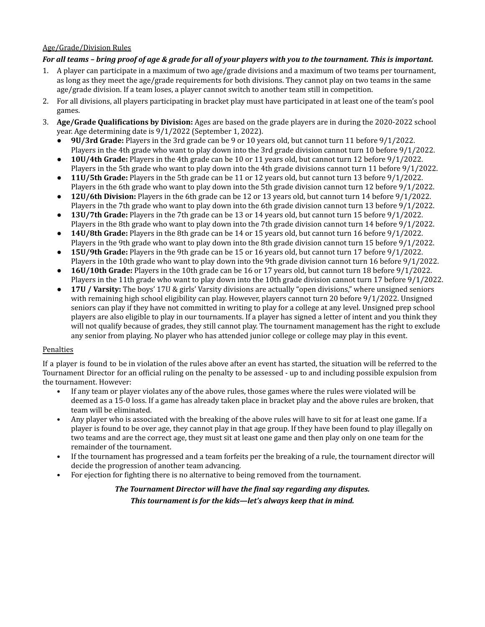### Age/Grade/Division Rules

#### For all teams - bring proof of age & grade for all of your players with you to the tournament. This is important.

- 1. A player can participate in a maximum of two age/grade divisions and a maximum of two teams per tournament, as long as they meet the age/grade requirements for both divisions. They cannot play on two teams in the same age/grade division. If a team loses, a player cannot switch to another team still in competition.
- 2. For all divisions, all players participating in bracket play must have participated in at least one of the team's pool games.
- 3. **Age/Grade Qualifications by Division:** Ages are based on the grade players are in during the 2020-2022 school year. Age determining date is 9/1/2022 (September 1, 2022).
	- **9U/3rd Grade:** Players in the 3rd grade can be 9 or 10 years old, but cannot turn 11 before 9/1/2022. Players in the 4th grade who want to play down into the 3rd grade division cannot turn 10 before 9/1/2022.
	- **10U/4th Grade:** Players in the 4th grade can be 10 or 11 years old, but cannot turn 12 before 9/1/2022. Players in the 5th grade who want to play down into the 4th grade divisions cannot turn 11 before 9/1/2022.
	- **11U/5th Grade:** Players in the 5th grade can be 11 or 12 years old, but cannot turn 13 before 9/1/2022. Players in the 6th grade who want to play down into the 5th grade division cannot turn 12 before 9/1/2022.
	- **12U/6th Division:** Players in the 6th grade can be 12 or 13 years old, but cannot turn 14 before 9/1/2022. Players in the 7th grade who want to play down into the 6th grade division cannot turn 13 before 9/1/2022.
	- **13U/7th Grade:** Players in the 7th grade can be 13 or 14 years old, but cannot turn 15 before 9/1/2022. Players in the 8th grade who want to play down into the 7th grade division cannot turn 14 before 9/1/2022.
	- **14U/8th Grade:** Players in the 8th grade can be 14 or 15 years old, but cannot turn 16 before 9/1/2022. Players in the 9th grade who want to play down into the 8th grade division cannot turn 15 before 9/1/2022.
	- **15U/9th Grade:** Players in the 9th grade can be 15 or 16 years old, but cannot turn 17 before 9/1/2022. Players in the 10th grade who want to play down into the 9th grade division cannot turn 16 before 9/1/2022.
	- **16U/10th Grade:** Players in the 10th grade can be 16 or 17 years old, but cannot turn 18 before 9/1/2022. Players in the 11th grade who want to play down into the 10th grade division cannot turn 17 before 9/1/2022.
	- **17U / Varsity:** The boys' 17U & girls' Varsity divisions are actually "open divisions," where unsigned seniors with remaining high school eligibility can play. However, players cannot turn 20 before 9/1/2022. Unsigned seniors can play if they have not committed in writing to play for a college at any level. Unsigned prep school players are also eligible to play in our tournaments. If a player has signed a letter of intent and you think they will not qualify because of grades, they still cannot play. The tournament management has the right to exclude any senior from playing. No player who has attended junior college or college may play in this event.

#### Penalties

If a player is found to be in violation of the rules above after an event has started, the situation will be referred to the Tournament Director for an official ruling on the penalty to be assessed - up to and including possible expulsion from the tournament. However:

- If any team or player violates any of the above rules, those games where the rules were violated will be deemed as a 15-0 loss. If a game has already taken place in bracket play and the above rules are broken, that team will be eliminated.
- Any player who is associated with the breaking of the above rules will have to sit for at least one game. If a player is found to be over age, they cannot play in that age group. If they have been found to play illegally on two teams and are the correct age, they must sit at least one game and then play only on one team for the remainder of the tournament.
- If the tournament has progressed and a team forfeits per the breaking of a rule, the tournament director will decide the progression of another team advancing.
- For ejection for fighting there is no alternative to being removed from the tournament.

## *The Tournament Director will have the final say regarding any disputes. This tournament is for the kids—let's always keep that in mind.*